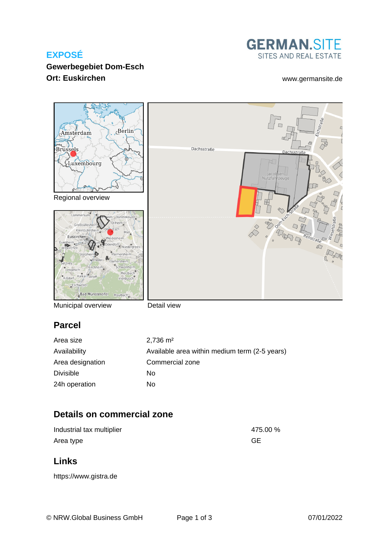## **EXPOSÉ**

### **Gewerbegebiet Dom-Esch Ort: Euskirchen** [www.germansite.de](http://www.germansite.de)

**GERMAN.SITE** SITES AND REAL ESTATE



Municipal overview

Detail view

# **Parcel**

| Area size        | $2,736 \text{ m}^2$                           |
|------------------|-----------------------------------------------|
| Availability     | Available area within medium term (2-5 years) |
| Area designation | Commercial zone                               |
| Divisible        | No                                            |
| 24h operation    | No                                            |

# **Details on commercial zone**

| Industrial tax multiplier | 475.00 %  |
|---------------------------|-----------|
| Area type                 | <b>GE</b> |

### **Links**

<https://www.gistra.de>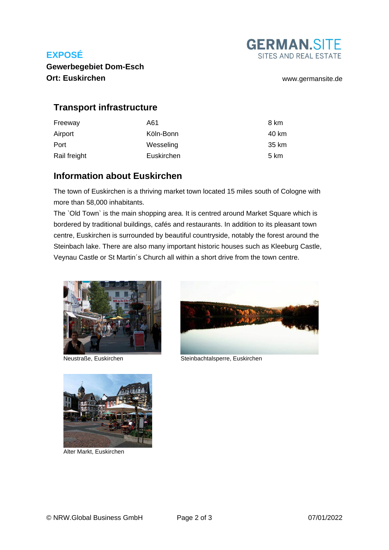## **EXPOSÉ**



**Gewerbegebiet Dom-Esch Ort: Euskirchen** [www.germansite.de](http://www.germansite.de)

### **Transport infrastructure**

| Freeway      | A61        | 8 km  |
|--------------|------------|-------|
| Airport      | Köln-Bonn  | 40 km |
| Port         | Wesseling  | 35 km |
| Rail freight | Euskirchen | 5 km  |

### **Information about Euskirchen**

The town of Euskirchen is a thriving market town located 15 miles south of Cologne with more than 58,000 inhabitants.

The `Old Town` is the main shopping area. It is centred around Market Square which is bordered by traditional buildings, cafés and restaurants. In addition to its pleasant town centre, Euskirchen is surrounded by beautiful countryside, notably the forest around the Steinbach lake. There are also many important historic houses such as Kleeburg Castle, Veynau Castle or St Martin´s Church all within a short drive from the town centre.





Neustraße, Euskirchen Steinbachtalsperre, Euskirchen



Alter Markt, Euskirchen